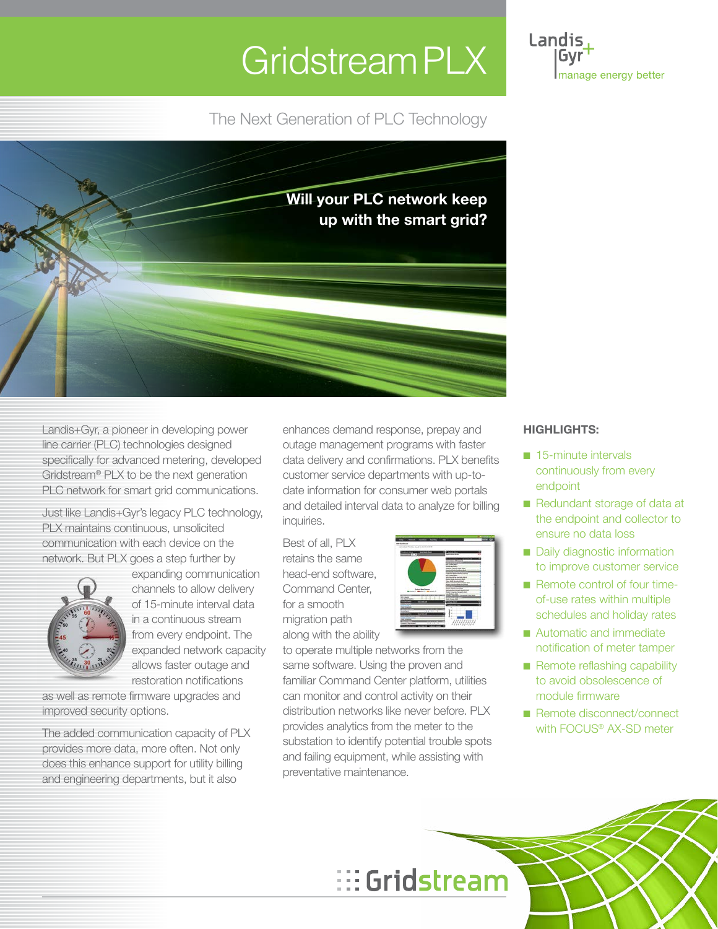# Gridstream PLX<sup>1</sup>

The Next Generation of PLC Technology



Landis+Gyr, a pioneer in developing power line carrier (PLC) technologies designed specifically for advanced metering, developed Gridstream® PLX to be the next generation PLC network for smart grid communications.

Just like Landis+Gyr's legacy PLC technology, PLX maintains continuous, unsolicited communication with each device on the network. But PLX goes a step further by



expanding communication channels to allow delivery of 15-minute interval data in a continuous stream from every endpoint. The expanded network capacity allows faster outage and restoration notifications

as well as remote firmware upgrades and improved security options.

The added communication capacity of PLX provides more data, more often. Not only does this enhance support for utility billing and engineering departments, but it also

enhances demand response, prepay and outage management programs with faster data delivery and confirmations. PLX benefits customer service departments with up-todate information for consumer web portals and detailed interval data to analyze for billing inquiries.

Best of all, PLX retains the same head-end software, Command Center, for a smooth migration path along with the ability



to operate multiple networks from the same software. Using the proven and familiar Command Center platform, utilities can monitor and control activity on their distribution networks like never before. PLX provides analytics from the meter to the substation to identify potential trouble spots and failing equipment, while assisting with preventative maintenance.

### **HIGHLIGHTS:**

Landis Gvr

manage energy better

- 15-minute intervals continuously from every endpoint
- Redundant storage of data at the endpoint and collector to ensure no data loss
- Daily diagnostic information to improve customer service
- Remote control of four timeof-use rates within multiple schedules and holiday rates
- Automatic and immediate notification of meter tamper
- Remote reflashing capability to avoid obsolescence of module firmware
- Remote disconnect/connect with FOCUS<sup>®</sup> AX-SD meter

# ::: Gridstream